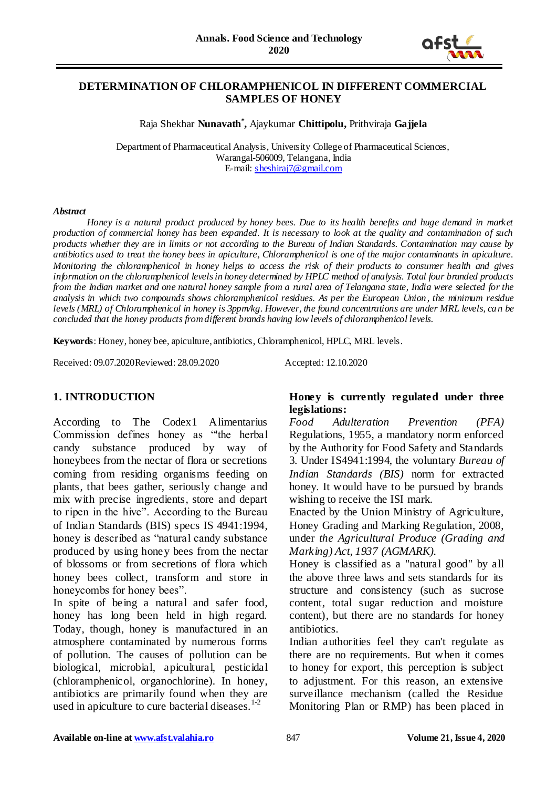

## **DETERMINATION OF CHLORAMPHENICOL IN DIFFERENT COMMERCIAL SAMPLES OF HONEY**

Raja Shekhar **Nunavath\* ,** Ajaykumar **Chittipolu,** Prithviraja **Gajjela**

Department of Pharmaceutical Analysis, University College of Pharmaceutical Sciences, Warangal-506009, Telangana, India E-mail: [sheshiraj7@gmail.com](mailto:sheshiraj7@gmail.com)

#### *Abstract*

*Honey is a natural product produced by honey bees. Due to its health benefits and huge demand in market production of commercial honey has been expanded. It is necessary to look at the quality and contamination of such products whether they are in limits or not according to the Bureau of Indian Standards. Contamination may cause by antibiotics used to treat the honey bees in apiculture, Chloramphenicol is one of the major contaminants in apiculture. Monitoring the chloramphenicol in honey helps to access the risk of their products to consumer health and gives information on the chloramphenicol levels in honey determined by HPLC method of analysis. Total four branded products from the Indian market and one natural honey sample from a rural area of Telangana state, India were selected for the analysis in which two compounds shows chloramphenicol residues. As per the European Union, the minimum residue levels (MRL) of Chloramphenicol in honey is 3ppm/kg. However, the found concentrations are under MRL levels, ca n be concluded that the honey products from different brands having low levels of chloramphenicol levels.*

**Keywords**: Honey, honey bee, apiculture, antibiotics, Chloramphenicol, HPLC, MRL levels.

Received: 09.07.2020Reviewed: 28.09.2020 Accepted: 12.10.2020

## **1. INTRODUCTION**

According to The Codex1 Alimentarius Commission defines honey as "'the herbal candy substance produced by way of honeybees from the nectar of flora or secretions coming from residing organisms feeding on plants, that bees gather, seriously change and mix with precise ingredients, store and depart to ripen in the hive". According to the Bureau of Indian Standards (BIS) specs IS 4941:1994, honey is described as "natural candy substance produced by using honey bees from the nectar of blossoms or from secretions of flora which honey bees collect, transform and store in honeycombs for honey bees".

In spite of being a natural and safer food, honey has long been held in high regard. Today, though, honey is manufactured in an atmosphere contaminated by numerous forms of pollution. The causes of pollution can be biological, microbial, apicultural, pesticidal (chloramphenicol, organochlorine). In honey, antibiotics are primarily found when they are used in apiculture to cure bacterial diseases. $1\frac{1}{2}$ 

## **Honey is currently regulated under three legislations:**

*Food Adulteration Prevention (PFA)*  Regulations, 1955, a mandatory norm enforced by the Authority for Food Safety and Standards 3. Under IS4941:1994, the voluntary *Bureau of Indian Standards (BIS)* norm for extracted honey. It would have to be pursued by brands wishing to receive the ISI mark.

Enacted by the Union Ministry of Agriculture, Honey Grading and Marking Regulation, 2008, under *the Agricultural Produce (Grading and Marking) Act, 1937 (AGMARK).*

Honey is classified as a "natural good" by all the above three laws and sets standards for its structure and consistency (such as sucrose content, total sugar reduction and moisture content), but there are no standards for honey antibiotics.

Indian authorities feel they can't regulate as there are no requirements. But when it comes to honey for export, this perception is subject to adjustment. For this reason, an extensive surveillance mechanism (called the Residue Monitoring Plan or RMP) has been placed in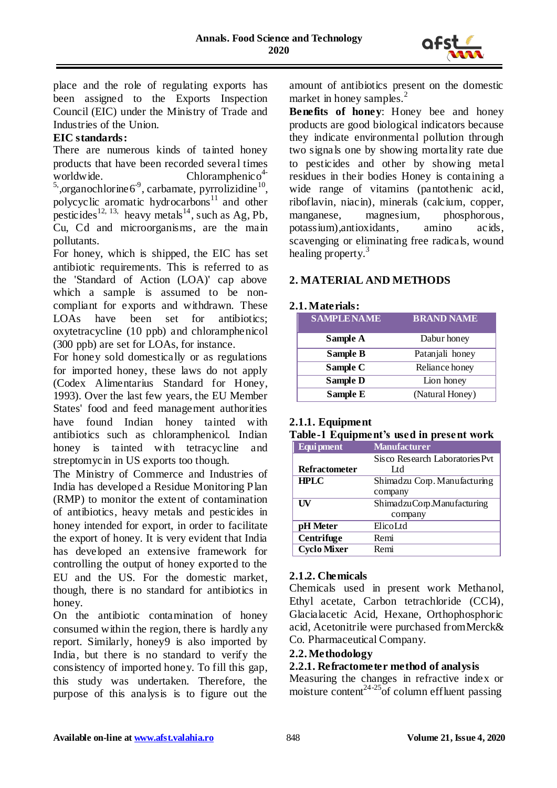

place and the role of regulating exports has been assigned to the Exports Inspection Council (EIC) under the Ministry of Trade and Industries of the Union.

# **EIC standards:**

There are numerous kinds of tainted honey products that have been recorded several times worldwide. Chloramphenic  $o<sup>4</sup>$ <sup>5</sup>, organochlorine  $6^{\degree}$ , carbamate, pyrrolizidine  $^{10}$ , polycyclic aromatic hydrocarbons<sup>11</sup> and other pesticides<sup>12, 13,</sup> heavy metals<sup>14</sup>, such as Ag, Pb, Cu, Cd and microorganisms, are the main pollutants.

For honey, which is shipped, the EIC has set antibiotic requirements. This is referred to as the 'Standard of Action (LOA)' cap above which a sample is assumed to be noncompliant for exports and withdrawn. These LOAs have been set for antibiotics; oxytetracycline (10 ppb) and chloramphenicol (300 ppb) are set for LOAs, for instance.

For honey sold domestically or as regulations for imported honey, these laws do not apply (Codex Alimentarius Standard for Honey, 1993). Over the last few years, the EU Member States' food and feed management authorities have found Indian honey tainted with antibiotics such as chloramphenicol. Indian honey is tainted with tetracycline and streptomycin in US exports too though.

The Ministry of Commerce and Industries of India has developed a Residue Monitoring Plan (RMP) to monitor the extent of contamination of antibiotics, heavy metals and pesticides in honey intended for export, in order to facilitate the export of honey. It is very evident that India has developed an extensive framework for controlling the output of honey exported to the EU and the US. For the domestic market, though, there is no standard for antibiotics in honey.

On the antibiotic contamination of honey consumed within the region, there is hardly any report. Similarly, honey9 is also imported by India, but there is no standard to verify the consistency of imported honey. To fill this gap, this study was undertaken. Therefore, the purpose of this analysis is to figure out the

amount of antibiotics present on the domestic market in honey samples.<sup>2</sup>

**Benefits of honey**: Honey bee and honey products are good biological indicators because they indicate environmental pollution through two signals one by showing mortality rate due to pesticides and other by showing metal residues in their bodies Honey is containing a wide range of vitamins (pantothenic acid, riboflavin, niacin), minerals (calcium, copper, manganese, magnesium, phosphorous, potassium),antioxidants, amino acids, scavenging or eliminating free radicals, wound healing property. $3$ 

# **2. MATERIAL AND METHODS**

## **2.1. Materials:**

| <b>SAMPLE NAME</b> | <b>BRAND NAME</b> |
|--------------------|-------------------|
| Sample A           | Dabur honey       |
| <b>Sample B</b>    | Patanjali honey   |
| Sample C           | Reliance honey    |
| <b>Sample D</b>    | Lion honey        |
| Sample E           | (Natural Honey)   |

## **2.1.1. Equipment**

## **Table-1 Equipment's used in present work**

| Equi pment           | <b>Manufacturer</b>             |
|----------------------|---------------------------------|
|                      | Sisco Research Laboratories Pvt |
| <b>Refractometer</b> | Lt I                            |
| <b>HPLC</b>          | Shimadzu Corp. Manufacturing    |
|                      | company                         |
| UV                   | ShimadzuCorp.Manufacturing      |
|                      | company                         |
| pH Meter             | ElicoLtd                        |
| Centrifuge           | Remi                            |
| <b>Cyclo Mixer</b>   | Remi                            |

## **2.1.2. Chemicals**

Chemicals used in present work Methanol, Ethyl acetate, Carbon tetrachloride (CCl4), Glacialacetic Acid, Hexane, Orthophosphoric acid, Acetonitrile were purchased fromMerck& Co. Pharmaceutical Company.

## **2.2. Methodology**

## **2.2.1. Refractometer method of analysis**

Measuring the changes in refractive index or moisture content<sup>24-25</sup>of column effluent passing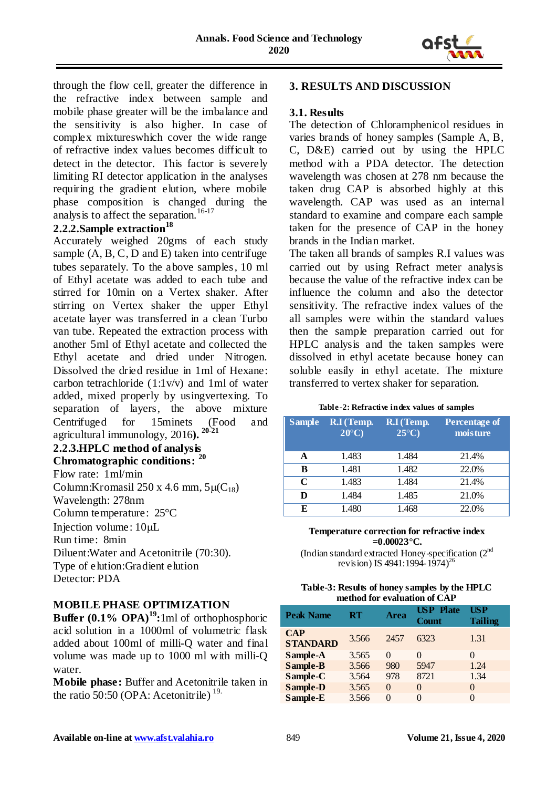

through the flow cell, greater the difference in the refractive index between sample and mobile phase greater will be the imbalance and the sensitivity is also higher. In case of complex mixtureswhich cover the wide range of refractive index values becomes difficult to detect in the detector. This factor is severely limiting RI detector application in the analyses requiring the gradient elution, where mobile phase composition is changed during the analysis to affect the separation.<sup>16-17</sup>

## **2.2.2.Sample extraction<sup>18</sup>**

Accurately weighed 20gms of each study sample  $(A, B, C, D, A)$  taken into centrifuge tubes separately. To the above samples, 10 ml of Ethyl acetate was added to each tube and stirred for 10min on a Vertex shaker. After stirring on Vertex shaker the upper Ethyl acetate layer was transferred in a clean Turbo van tube. Repeated the extraction process with another 5ml of Ethyl acetate and collected the Ethyl acetate and dried under Nitrogen. Dissolved the dried residue in 1ml of Hexane: carbon tetrachloride (1:1v/v) and 1ml of water added, mixed properly by usingvertexing. To separation of layers, the above mixture Centrifuged for 15minets (Food and agricultural immunology, 2016**). 20-21**

#### **2.2.3.HPLC method of analysis Chromatographic conditions: <sup>20</sup>**

Flow rate: 1ml/min Column:Kromasil 250 x 4.6 mm,  $5\mu(C_{18})$ Wavelength: 278nm Column temperature: 25°C Injection volume:  $10 \mu L$ Run time: 8min Diluent:Water and Acetonitrile (70:30). Type of elution:Gradient elution Detector: PDA

## **MOBILE PHASE OPTIMIZATION**

**Buffer (0.1% OPA)<sup>19</sup>:**1ml of orthophosphoric acid solution in a 1000ml of volumetric flask added about 100ml of milli-Q water and final volume was made up to 1000 ml with milli-Q water.

**Mobile phase:** Buffer and Acetonitrile taken in the ratio 50:50 (OPA: Acetonitrile)<sup>19.</sup>

## **3. RESULTS AND DISCUSSION**

#### **3.1. Results**

The detection of Chloramphenicol residues in varies brands of honey samples (Sample A, B, C, D&E) carried out by using the HPLC method with a PDA detector. The detection wavelength was chosen at 278 nm because the taken drug CAP is absorbed highly at this wavelength. CAP was used as an internal standard to examine and compare each sample taken for the presence of CAP in the honey brands in the Indian market.

The taken all brands of samples R.I values was carried out by using Refract meter analysis because the value of the refractive index can be influence the column and also the detector sensitivity. The refractive index values of the all samples were within the standard values then the sample preparation carried out for HPLC analysis and the taken samples were dissolved in ethyl acetate because honey can soluble easily in ethyl acetate. The mixture transferred to vertex shaker for separation.

#### **Table-2: Refractive index values of samples**

| <b>Sample</b> | R.I (Temp.<br>$20^{\circ}$ C) | R.I (Temp.<br>$25^{\circ}$ C) | <b>Percentage of</b><br>moisture |
|---------------|-------------------------------|-------------------------------|----------------------------------|
| A             | 1.483                         | 1.484                         | 21.4%                            |
| B             | 1.481                         | 1.482                         | 22.0%                            |
| C             | 1.483                         | 1.484                         | 21.4%                            |
| D             | 1.484                         | 1.485                         | 21.0%                            |
| E             | 1.480                         | 1.468                         | 22.0%                            |

#### **Temperature correction for refractive index =0.00023°C.**

(Indian standard extracted Honey-specification (2nd revision) IS 4941:1994-1974)<sup>26</sup>

#### **Table-3: Results of honey samples by the HPLC method for evaluation of CAP**

| <b>Peak Name</b>              | RT    | <b>Area</b> | <b>USP</b> Plate<br><b>Count</b> | USP<br><b>Tailing</b> |
|-------------------------------|-------|-------------|----------------------------------|-----------------------|
| <b>CAP</b><br><b>STANDARD</b> | 3.566 | 2457        | 6323                             | 1.31                  |
| Sample-A                      | 3.565 | $\Omega$    | $\Omega$                         |                       |
| Sample-B                      | 3.566 | 980         | 5947                             | 1.24                  |
| Sample-C                      | 3.564 | 978         | 8721                             | 1.34                  |
| <b>Sample-D</b>               | 3.565 | 0           | $\Omega$                         | 0                     |
| Sample-E                      | 3.566 | 0           | 0                                | $\Omega$              |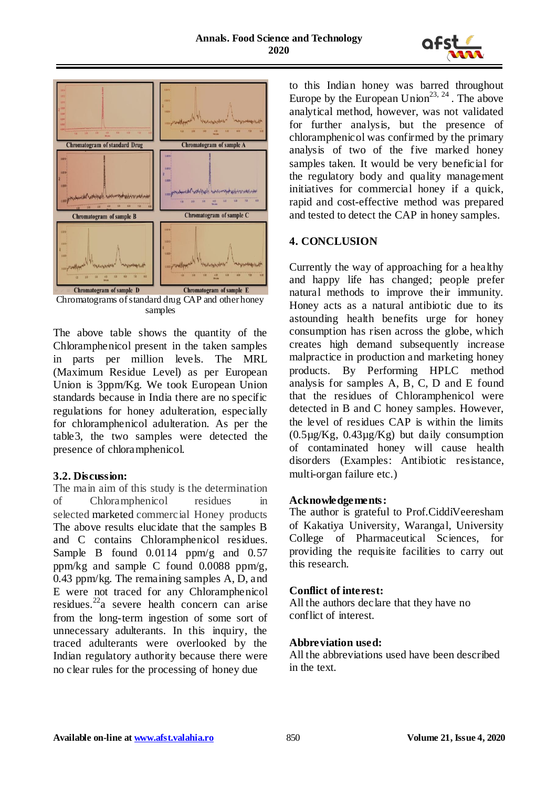



Chromatograms ofstandard drug CAP and other honey samples

The above table shows the quantity of the Chloramphenicol present in the taken samples in parts per million levels. The MRL (Maximum Residue Level) as per European Union is 3ppm/Kg. We took European Union standards because in India there are no specific regulations for honey adulteration, especially for chloramphenicol adulteration. As per the table3, the two samples were detected the presence of chloramphenicol.

## **3.2. Discussion:**

The main aim of this study is the determination of Chloramphenicol residues in selected marketed commercial Honey products The above results elucidate that the samples B and C contains Chloramphenicol residues. Sample B found 0.0114 ppm/g and 0.57 ppm/kg and sample C found 0.0088 ppm/g, 0.43 ppm/kg. The remaining samples A, D, and E were not traced for any Chloramphenicol residues.<sup>22</sup>a severe health concern can arise from the long-term ingestion of some sort of unnecessary adulterants. In this inquiry, the traced adulterants were overlooked by the Indian regulatory authority because there were no clear rules for the processing of honey due

to this Indian honey was barred throughout Europe by the European Union<sup>23, 24</sup>. The above analytical method, however, was not validated for further analysis, but the presence of chloramphenicol was confirmed by the primary analysis of two of the five marked honey samples taken. It would be very beneficial for the regulatory body and quality management initiatives for commercial honey if a quick, rapid and cost-effective method was prepared and tested to detect the CAP in honey samples.

# **4. CONCLUSION**

Currently the way of approaching for a healthy and happy life has changed; people prefer natural methods to improve their immunity. Honey acts as a natural antibiotic due to its astounding health benefits urge for honey consumption has risen across the globe, which creates high demand subsequently increase malpractice in production and marketing honey products. By Performing HPLC method analysis for samples A, B, C, D and E found that the residues of Chloramphenicol were detected in B and C honey samples. However, the level of residues CAP is within the limits  $(0.5\mu g/Kg, 0.43\mu g/Kg)$  but daily consumption of contaminated honey will cause health disorders (Examples: Antibiotic resistance, multi-organ failure etc.)

# **Acknowledgements:**

The author is grateful to Prof.CiddiVeeresham of Kakatiya University, Warangal, University College of Pharmaceutical Sciences, for providing the requisite facilities to carry out this research.

# **Conflict of interest:**

All the authors declare that they have no conflict of interest.

# **Abbreviation used:**

All the abbreviations used have been described in the text.